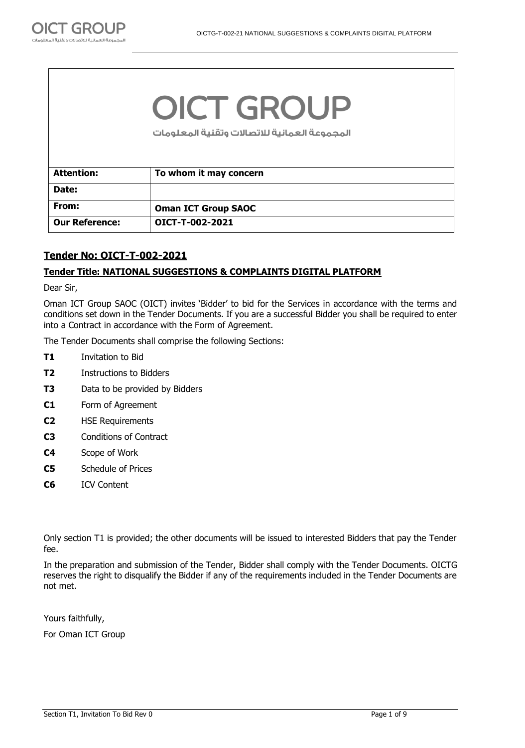# **OICT GROUP**

المجموعة العمانية للاتصالات وتقنية المعلومات

| <b>Attention:</b>     | To whom it may concern     |  |
|-----------------------|----------------------------|--|
| Date:                 |                            |  |
| From:                 | <b>Oman ICT Group SAOC</b> |  |
| <b>Our Reference:</b> | OICT-T-002-2021            |  |

#### **Tender No: OICT-T-002-2021**

#### **Tender Title: NATIONAL SUGGESTIONS & COMPLAINTS DIGITAL PLATFORM**

Dear Sir,

Oman ICT Group SAOC (OICT) invites 'Bidder' to bid for the Services in accordance with the terms and conditions set down in the Tender Documents. If you are a successful Bidder you shall be required to enter into a Contract in accordance with the Form of Agreement.

The Tender Documents shall comprise the following Sections:

- **T1** Invitation to Bid
- **T2** Instructions to Bidders
- **T3** Data to be provided by Bidders
- **C1** Form of Agreement
- **C2** HSE Requirements
- **C3** Conditions of Contract
- **C4** Scope of Work
- **C5** Schedule of Prices
- **C6** ICV Content

Only section T1 is provided; the other documents will be issued to interested Bidders that pay the Tender fee.

In the preparation and submission of the Tender, Bidder shall comply with the Tender Documents. OICTG reserves the right to disqualify the Bidder if any of the requirements included in the Tender Documents are not met.

Yours faithfully,

For Oman ICT Group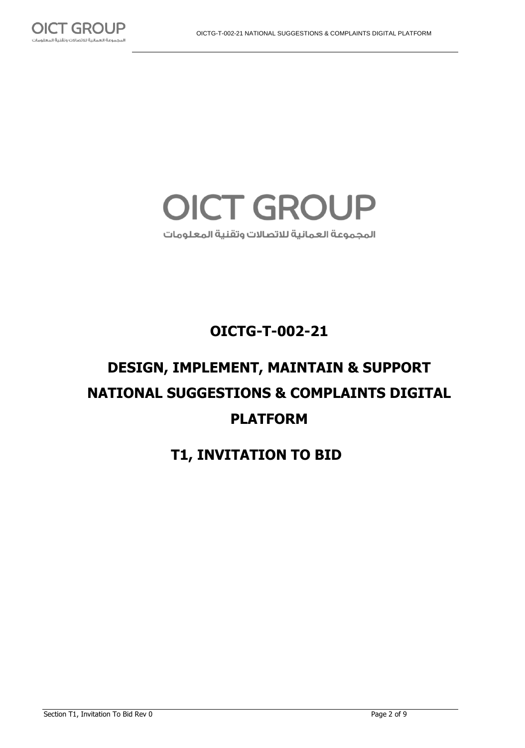

المجموعة العمانية للاتصالات وتقنية المعلومات

# **OICTG-T-002-21**

# **DESIGN, IMPLEMENT, MAINTAIN & SUPPORT NATIONAL SUGGESTIONS & COMPLAINTS DIGITAL PLATFORM**

# **T1, INVITATION TO BID**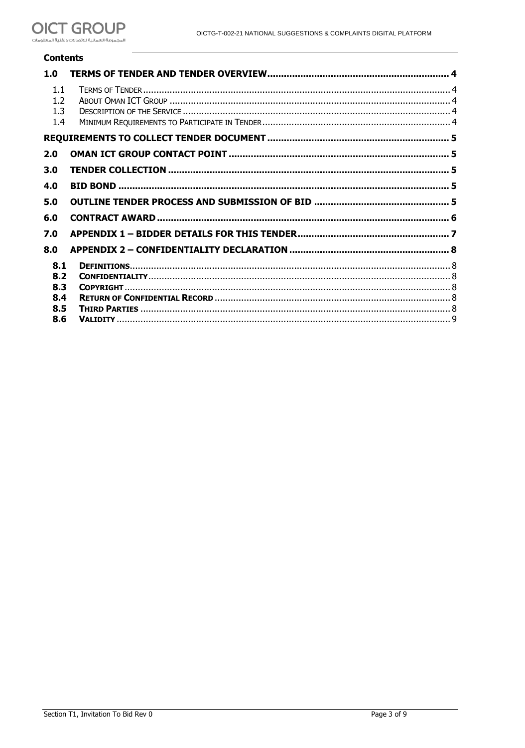

#### **Contents**

| 1.0                      |  |
|--------------------------|--|
| 1.1<br>1.2<br>1.3<br>1.4 |  |
|                          |  |
| 2.0                      |  |
| 3.0                      |  |
| 4.0                      |  |
| 5.0                      |  |
| 6.0                      |  |
| 7.0                      |  |
| 8.0                      |  |
| 8.1                      |  |
| 8.2                      |  |
| 8.3                      |  |
| 8.4                      |  |
| 8.5                      |  |
| 8.6                      |  |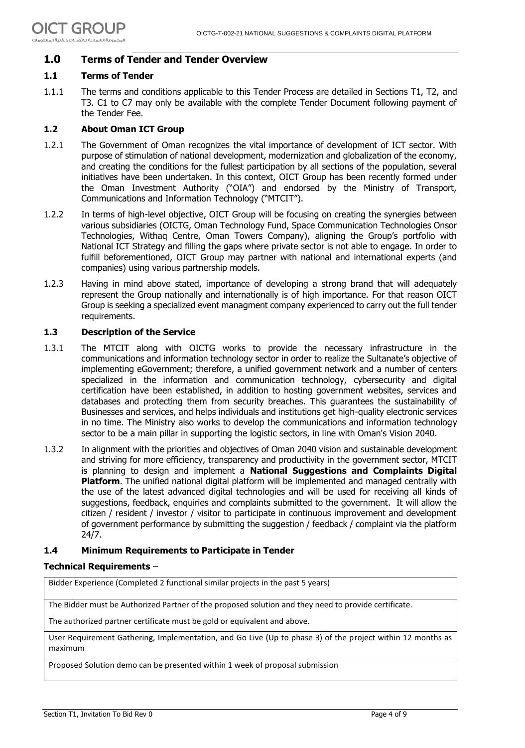#### **1.0 Terms of Tender and Tender Overview**

#### **1.1 Terms of Tender**

1.1.1 The terms and conditions applicable to this Tender Process are detailed in Sections T1, T2, and T3. C1 to C7 may only be available with the complete Tender Document following payment of the Tender Fee.

#### **1.2 About Oman ICT Group**

- 1.2.1 The Government of Oman recognizes the vital importance of development of ICT sector. With purpose of stimulation of national development, modernization and globalization of the economy, and creating the conditions for the fullest participation by all sections of the population, several initiatives have been undertaken. In this context, OICT Group has been recently formed under the Oman Investment Authority ("OIA") and endorsed by the Ministry of Transport, Communications and Information Technology ("MTCIT").
- 1.2.2 In terms of high-level objective, OICT Group will be focusing on creating the synergies between various subsidiaries (OICTG, Oman Technology Fund, Space Communication Technologies Onsor Technologies, Withaq Centre, Oman Towers Company), aligning the Group's portfolio with National ICT Strategy and filling the gaps where private sector is not able to engage. In order to fulfill beforementioned, OICT Group may partner with national and international experts (and companies) using various partnership models.
- 1.2.3 Having in mind above stated, importance of developing a strong brand that will adequately represent the Group nationally and internationally is of high importance. For that reason OICT Group is seeking a specialized event managment company experienced to carry out the full tender requirements.

#### **1.3 Description of the Service**

- 1.3.1 The MTCIT along with OICTG works to provide the necessary infrastructure in the communications and information technology sector in order to realize the Sultanate's objective of implementing eGovernment; therefore, a unified government network and a number of centers specialized in the information and communication technology, cybersecurity and digital certification have been established, in addition to hosting government websites, services and databases and protecting them from security breaches. This guarantees the sustainability of Businesses and services, and helps individuals and institutions get high-quality electronic services in no time. The Ministry also works to develop the communications and information technology sector to be a main pillar in supporting the logistic sectors, in line with Oman's Vision 2040.
- 1.3.2 In alignment with the priorities and objectives of Oman 2040 vision and sustainable development and striving for more efficiency, transparency and productivity in the government sector, MTCIT is planning to design and implement a **National Suggestions and Complaints Digital Platform**. The unified national digital platform will be implemented and managed centrally with the use of the latest advanced digital technologies and will be used for receiving all kinds of suggestions, feedback, enquiries and complaints submitted to the government. It will allow the citizen / resident / investor / visitor to participate in continuous improvement and development of government performance by submitting the suggestion / feedback / complaint via the platform 24/7.

#### **1.4 Minimum Requirements to Participate in Tender**

#### **Technical Requirements** –

Bidder Experience (Completed 2 functional similar projects in the past 5 years)

The Bidder must be Authorized Partner of the proposed solution and they need to provide certificate.

The authorized partner certificate must be gold or equivalent and above.

User Requirement Gathering, Implementation, and Go Live (Up to phase 3) of the project within 12 months as maximum

Proposed Solution demo can be presented within 1 week of proposal submission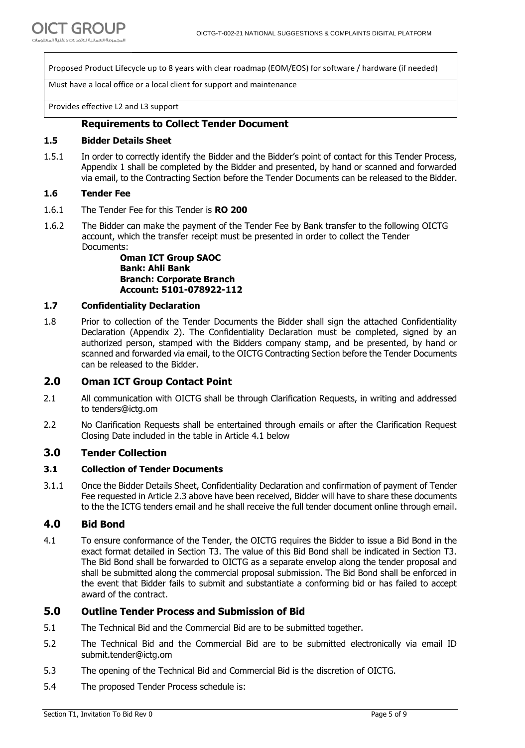Proposed Product Lifecycle up to 8 years with clear roadmap (EOM/EOS) for software / hardware (if needed)

Must have a local office or a local client for support and maintenance

Provides effective L2 and L3 support

#### **Requirements to Collect Tender Document**

#### **1.5 Bidder Details Sheet**

1.5.1 In order to correctly identify the Bidder and the Bidder's point of contact for this Tender Process, Appendix 1 shall be completed by the Bidder and presented, by hand or scanned and forwarded via email, to the Contracting Section before the Tender Documents can be released to the Bidder.

#### **1.6 Tender Fee**

- 1.6.1 The Tender Fee for this Tender is **RO 200**
- 1.6.2 The Bidder can make the payment of the Tender Fee by Bank transfer to the following OICTG account, which the transfer receipt must be presented in order to collect the Tender Documents:

**Oman ICT Group SAOC Bank: Ahli Bank Branch: Corporate Branch Account: 5101-078922-112**

#### **1.7 Confidentiality Declaration**

1.8 Prior to collection of the Tender Documents the Bidder shall sign the attached Confidentiality Declaration (Appendix 2). The Confidentiality Declaration must be completed, signed by an authorized person, stamped with the Bidders company stamp, and be presented, by hand or scanned and forwarded via email, to the OICTG Contracting Section before the Tender Documents can be released to the Bidder.

#### **2.0 Oman ICT Group Contact Point**

- 2.1 All communication with OICTG shall be through Clarification Requests, in writing and addressed to [tenders@ictg.om](mailto:tenders@ictg.om)
- 2.2 No Clarification Requests shall be entertained through emails or after the Clarification Request Closing Date included in the table in Article [4.1 below](#page-4-0)

#### **3.0 Tender Collection**

#### **3.1 Collection of Tender Documents**

3.1.1 Once the Bidder Details Sheet, Confidentiality Declaration and confirmation of payment of Tender Fee requested in Article 2.3 above have been received, Bidder will have to share these documents to the the ICTG tenders email and he shall receive the full tender document online through email.

#### **4.0 Bid Bond**

<span id="page-4-0"></span>4.1 To ensure conformance of the Tender, the OICTG requires the Bidder to issue a Bid Bond in the exact format detailed in Section T3. The value of this Bid Bond shall be indicated in Section T3. The Bid Bond shall be forwarded to OICTG as a separate envelop along the tender proposal and shall be submitted along the commercial proposal submission. The Bid Bond shall be enforced in the event that Bidder fails to submit and substantiate a conforming bid or has failed to accept award of the contract.

#### **5.0 Outline Tender Process and Submission of Bid**

- 5.1 The Technical Bid and the Commercial Bid are to be submitted together.
- 5.2 The Technical Bid and the Commercial Bid are to be submitted electronically via email ID [submit.tender@ictg.om](mailto:submit.tender@ictg.om)
- 5.3 The opening of the Technical Bid and Commercial Bid is the discretion of OICTG.
- 5.4 The proposed Tender Process schedule is: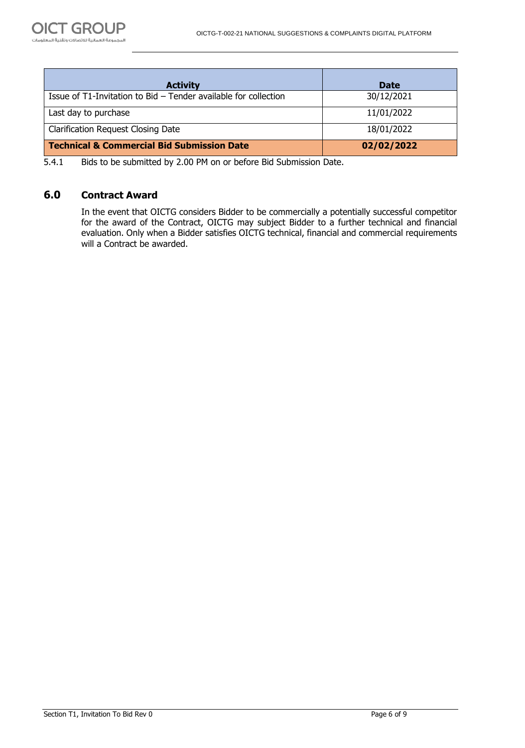| <b>Activity</b>                                                 | <b>Date</b> |
|-----------------------------------------------------------------|-------------|
| Issue of T1-Invitation to Bid - Tender available for collection | 30/12/2021  |
| Last day to purchase                                            | 11/01/2022  |
| <b>Clarification Request Closing Date</b>                       | 18/01/2022  |
| <b>Technical &amp; Commercial Bid Submission Date</b>           | 02/02/2022  |

5.4.1 Bids to be submitted by 2.00 PM on or before Bid Submission Date.

#### **6.0 Contract Award**

In the event that OICTG considers Bidder to be commercially a potentially successful competitor for the award of the Contract, OICTG may subject Bidder to a further technical and financial evaluation. Only when a Bidder satisfies OICTG technical, financial and commercial requirements will a Contract be awarded.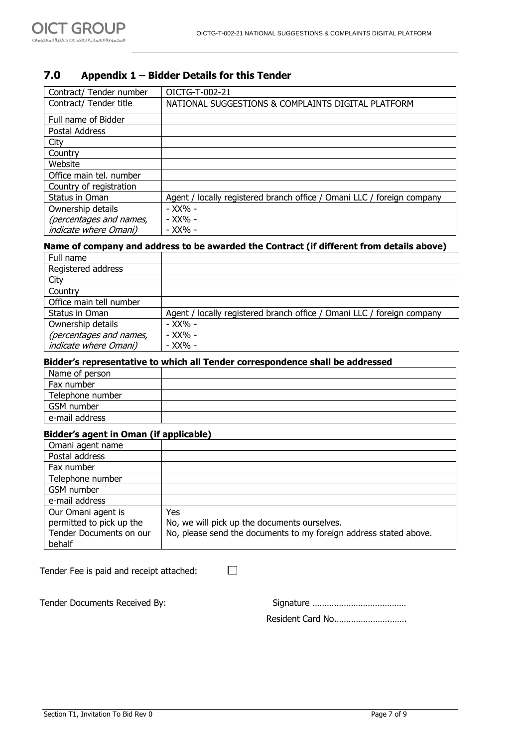#### **7.0 Appendix 1 – Bidder Details for this Tender**

| Contract/ Tender number      | OICTG-T-002-21                                                         |
|------------------------------|------------------------------------------------------------------------|
| Contract/ Tender title       | NATIONAL SUGGESTIONS & COMPLAINTS DIGITAL PLATFORM                     |
| Full name of Bidder          |                                                                        |
| Postal Address               |                                                                        |
| City                         |                                                                        |
| Country                      |                                                                        |
| Website                      |                                                                        |
| Office main tel. number      |                                                                        |
| Country of registration      |                                                                        |
| Status in Oman               | Agent / locally registered branch office / Omani LLC / foreign company |
| Ownership details            | - XX% -                                                                |
| (percentages and names,      | - XX% -                                                                |
| <i>indicate where Omani)</i> | - XX% -                                                                |

### **Name of company and address to be awarded the Contract (if different from details above)**

| Full name                    |                                                                        |
|------------------------------|------------------------------------------------------------------------|
| Registered address           |                                                                        |
| City                         |                                                                        |
| Country                      |                                                                        |
| Office main tell number      |                                                                        |
| Status in Oman               | Agent / locally registered branch office / Omani LLC / foreign company |
| Ownership details            | - XX% -                                                                |
| (percentages and names,      | - XX% -                                                                |
| <i>indicate where Omani)</i> | - XX% -                                                                |

#### **Bidder's representative to which all Tender correspondence shall be addressed**

| Name of person   |  |
|------------------|--|
| Fax number       |  |
| Telephone number |  |
| GSM number       |  |
| e-mail address   |  |

#### **Bidder's agent in Oman (if applicable)**

| Omani agent name         |                                                                   |
|--------------------------|-------------------------------------------------------------------|
| Postal address           |                                                                   |
| Fax number               |                                                                   |
| Telephone number         |                                                                   |
| GSM number               |                                                                   |
| e-mail address           |                                                                   |
| Our Omani agent is       | Yes                                                               |
| permitted to pick up the | No, we will pick up the documents ourselves.                      |
| Tender Documents on our  | No, please send the documents to my foreign address stated above. |
| behalf                   |                                                                   |

 $\Box$ 

Tender Fee is paid and receipt attached:

Tender Documents Received By: Signature …………………………………

| Resident Card No |
|------------------|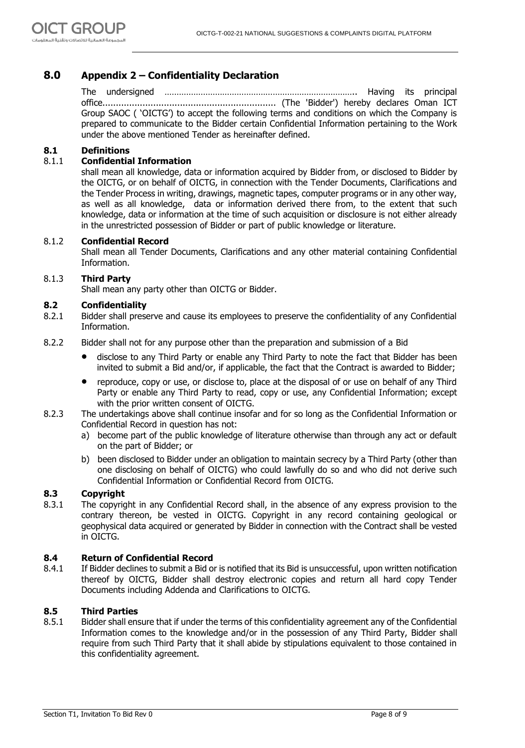#### **8.0 Appendix 2 – Confidentiality Declaration**

The undersigned …………………………………………………………………….. Having its principal office................................................................. (The 'Bidder') hereby declares Oman ICT Group SAOC ( 'OICTG') to accept the following terms and conditions on which the Company is prepared to communicate to the Bidder certain Confidential Information pertaining to the Work under the above mentioned Tender as hereinafter defined.

#### **8.1 Definitions**

#### 8.1.1 **Confidential Information**

shall mean all knowledge, data or information acquired by Bidder from, or disclosed to Bidder by the OICTG, or on behalf of OICTG, in connection with the Tender Documents, Clarifications and the Tender Process in writing, drawings, magnetic tapes, computer programs or in any other way, as well as all knowledge, data or information derived there from, to the extent that such knowledge, data or information at the time of such acquisition or disclosure is not either already in the unrestricted possession of Bidder or part of public knowledge or literature.

#### 8.1.2 **Confidential Record**

Shall mean all Tender Documents, Clarifications and any other material containing Confidential Information.

#### 8.1.3 **Third Party**

Shall mean any party other than OICTG or Bidder.

#### **8.2 Confidentiality**

- 8.2.1 Bidder shall preserve and cause its employees to preserve the confidentiality of any Confidential Information.
- 8.2.2 Bidder shall not for any purpose other than the preparation and submission of a Bid
	- disclose to any Third Party or enable any Third Party to note the fact that Bidder has been invited to submit a Bid and/or, if applicable, the fact that the Contract is awarded to Bidder;
	- reproduce, copy or use, or disclose to, place at the disposal of or use on behalf of any Third Party or enable any Third Party to read, copy or use, any Confidential Information; except with the prior written consent of OICTG.
- 8.2.3 The undertakings above shall continue insofar and for so long as the Confidential Information or Confidential Record in question has not:
	- a) become part of the public knowledge of literature otherwise than through any act or default on the part of Bidder; or
	- b) been disclosed to Bidder under an obligation to maintain secrecy by a Third Party (other than one disclosing on behalf of OICTG) who could lawfully do so and who did not derive such Confidential Information or Confidential Record from OICTG.

#### **8.3 Copyright**

8.3.1 The copyright in any Confidential Record shall, in the absence of any express provision to the contrary thereon, be vested in OICTG. Copyright in any record containing geological or geophysical data acquired or generated by Bidder in connection with the Contract shall be vested in OICTG.

#### **8.4 Return of Confidential Record**

8.4.1 If Bidder declines to submit a Bid or is notified that its Bid is unsuccessful, upon written notification thereof by OICTG, Bidder shall destroy electronic copies and return all hard copy Tender Documents including Addenda and Clarifications to OICTG.

#### **8.5 Third Parties**

8.5.1 Bidder shall ensure that if under the terms of this confidentiality agreement any of the Confidential Information comes to the knowledge and/or in the possession of any Third Party, Bidder shall require from such Third Party that it shall abide by stipulations equivalent to those contained in this confidentiality agreement.